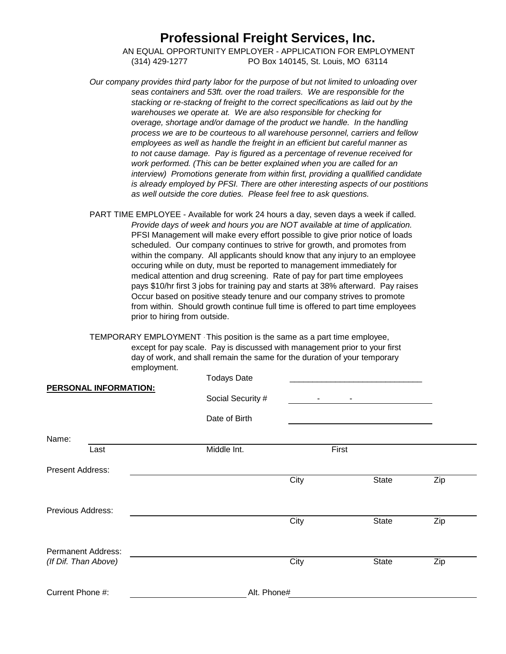# **Professional Freight Services, Inc.**

 AN EQUAL OPPORTUNITY EMPLOYER - APPLICATION FOR EMPLOYMENT (314) 429-1277 PO Box 140145, St. Louis, MO 63114

*Our company provides third party labor for the purpose of but not limited to unloading over seas containers and 53ft. over the road trailers. We are responsible for the stacking or re-stackng of freight to the correct specifications as laid out by the warehouses we operate at. We are also responsible for checking for overage, shortage and/or damage of the product we handle. In the handling process we are to be courteous to all warehouse personnel, carriers and fellow employees as well as handle the freight in an efficient but careful manner as to not cause damage. Pay is figured as a percentage of revenue received for work performed. (This can be better explained when you are called for an interview) Promotions generate from within first, providing a quallified candidate is already employed by PFSI. There are other interesting aspects of our postitions as well outside the core duties. Please feel free to ask questions.*

PART TIME EMPLOYEE - Available for work 24 hours a day, seven days a week if called. *Provide days of week and hours you are NOT available at time of application.* PFSI Management will make every effort possible to give prior notice of loads scheduled. Our company continues to strive for growth, and promotes from within the company. All applicants should know that any injury to an employee occuring while on duty, must be reported to management immediately for medical attention and drug screening. Rate of pay for part time employees pays \$10/hr first 3 jobs for training pay and starts at 38% afterward. Pay raises Occur based on positive steady tenure and our company strives to promote from within. Should growth continue full time is offered to part time employees prior to hiring from outside.

TEMPORARY EMPLOYMENT - This position is the same as a part time employee, except for pay scale. Pay is discussed with management prior to your first day of work, and shall remain the same for the duration of your temporary employment.

|                              | <b>Todays Date</b> |      |                                |              |     |  |
|------------------------------|--------------------|------|--------------------------------|--------------|-----|--|
| <b>PERSONAL INFORMATION:</b> | Social Security #  |      | <b>All Contracts</b><br>$\sim$ |              |     |  |
|                              | Date of Birth      |      |                                |              |     |  |
| Name:                        |                    |      |                                |              |     |  |
| Last                         | Middle Int.        |      | First                          |              |     |  |
| Present Address:             |                    |      |                                |              |     |  |
|                              |                    | City |                                | <b>State</b> | Zip |  |
| <b>Previous Address:</b>     |                    |      |                                |              |     |  |
|                              |                    | City |                                | <b>State</b> | Zip |  |
| <b>Permanent Address:</b>    |                    |      |                                |              |     |  |
| (If Dif. Than Above)         |                    | City |                                | State        | Zip |  |
| Current Phone #:             | Alt. Phone#        |      |                                |              |     |  |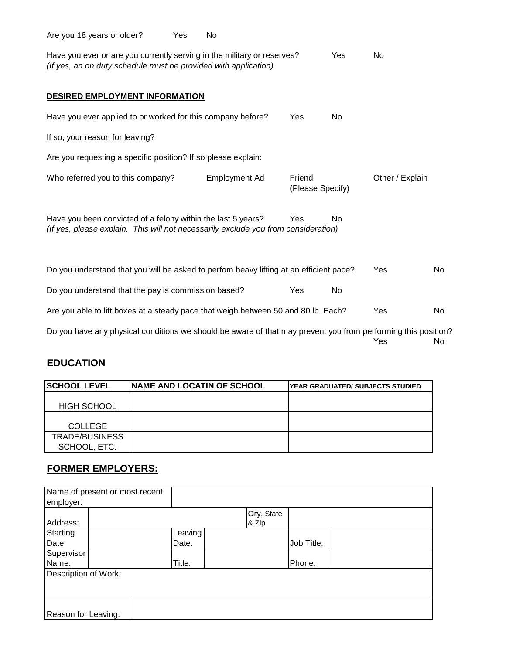| Are you 18 years or older?                                                                                                                         | Yes | No                   |                            |           |                 |     |
|----------------------------------------------------------------------------------------------------------------------------------------------------|-----|----------------------|----------------------------|-----------|-----------------|-----|
| Have you ever or are you currently serving in the military or reserves?<br>(If yes, an on duty schedule must be provided with application)         |     |                      |                            | Yes       | No.             |     |
| <b>DESIRED EMPLOYMENT INFORMATION</b>                                                                                                              |     |                      |                            |           |                 |     |
| Have you ever applied to or worked for this company before?                                                                                        |     |                      | Yes                        | No        |                 |     |
| If so, your reason for leaving?                                                                                                                    |     |                      |                            |           |                 |     |
| Are you requesting a specific position? If so please explain:                                                                                      |     |                      |                            |           |                 |     |
| Who referred you to this company?                                                                                                                  |     | <b>Employment Ad</b> | Friend<br>(Please Specify) |           | Other / Explain |     |
| Have you been convicted of a felony within the last 5 years?<br>(If yes, please explain. This will not necessarily exclude you from consideration) |     |                      | Yes                        | <b>No</b> |                 |     |
| Do you understand that you will be asked to perfom heavy lifting at an efficient pace?                                                             |     |                      |                            |           | Yes             | No  |
| Do you understand that the pay is commission based?                                                                                                |     |                      | Yes                        | No        |                 |     |
| Are you able to lift boxes at a steady pace that weigh between 50 and 80 lb. Each?                                                                 |     |                      |                            |           | Yes             | No. |
| Do you have any physical conditions we should be aware of that may prevent you from performing this position?                                      |     |                      |                            |           | Yes             | No  |

### **EDUCATION**

| <b>SCHOOL LEVEL</b> | <b>INAME AND LOCATIN OF SCHOOL</b> | IYEAR GRADUATED/ SUBJECTS STUDIED |
|---------------------|------------------------------------|-----------------------------------|
|                     |                                    |                                   |
| <b>HIGH SCHOOL</b>  |                                    |                                   |
|                     |                                    |                                   |
| <b>COLLEGE</b>      |                                    |                                   |
| TRADE/BUSINESS      |                                    |                                   |
| SCHOOL, ETC.        |                                    |                                   |

### **FORMER EMPLOYERS:**

| employer:            | Name of present or most recent |         |                      |            |  |
|----------------------|--------------------------------|---------|----------------------|------------|--|
| Address:             |                                |         | City, State<br>& Zip |            |  |
| Starting             |                                | Leaving |                      |            |  |
| Date:                |                                | Date:   |                      | Job Title: |  |
| Supervisor           |                                |         |                      |            |  |
| Name:                |                                | Title:  |                      | Phone:     |  |
| Description of Work: |                                |         |                      |            |  |
| Reason for Leaving:  |                                |         |                      |            |  |